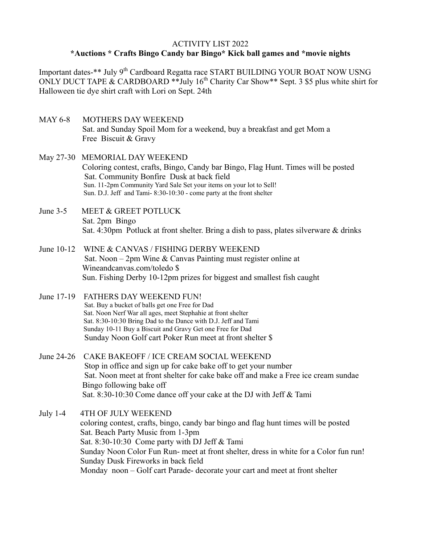## ACTIVITY LIST 2022

## **\*Auctions \* Crafts Bingo Candy bar Bingo\* Kick ball games and \*movie nights**

Important dates-\*\* July 9<sup>th</sup> Cardboard Regatta race START BUILDING YOUR BOAT NOW USNG ONLY DUCT TAPE & CARDBOARD \*\*July  $16^{th}$  Charity Car Show\*\* Sept. 3 \$5 plus white shirt for Halloween tie dye shirt craft with Lori on Sept. 24th

- MAY 6-8 MOTHERS DAY WEEKEND Sat. and Sunday Spoil Mom for a weekend, buy a breakfast and get Mom a Free Biscuit & Gravy
- May 27-30 MEMORIAL DAY WEEKEND Coloring contest, crafts, Bingo, Candy bar Bingo, Flag Hunt. Times will be posted Sat. Community Bonfire Dusk at back field Sun. 11-2pm Community Yard Sale Set your items on your lot to Sell! Sun. D.J. Jeff and Tami- 8:30-10:30 - come party at the front shelter
- June 3-5 MEET & GREET POTLUCK Sat. 2pm Bingo Sat. 4:30pm Potluck at front shelter. Bring a dish to pass, plates silverware & drinks
- June 10-12 WINE & CANVAS / FISHING DERBY WEEKEND Sat. Noon – 2pm Wine & Canvas Painting must register online at Wineandcanvas.com/toledo \$ Sun. Fishing Derby 10-12pm prizes for biggest and smallest fish caught
- June 17-19 FATHERS DAY WEEKEND FUN! Sat. Buy a bucket of balls get one Free for Dad Sat. Noon Nerf War all ages, meet Stephahie at front shelter Sat. 8:30-10:30 Bring Dad to the Dance with D.J. Jeff and Tami Sunday 10-11 Buy a Biscuit and Gravy Get one Free for Dad Sunday Noon Golf cart Poker Run meet at front shelter \$
- June 24-26 CAKE BAKEOFF / ICE CREAM SOCIAL WEEKEND Stop in office and sign up for cake bake off to get your number Sat. Noon meet at front shelter for cake bake off and make a Free ice cream sundae Bingo following bake off Sat. 8:30-10:30 Come dance off your cake at the DJ with Jeff & Tami
- July 1-4 4TH OF JULY WEEKEND coloring contest, crafts, bingo, candy bar bingo and flag hunt times will be posted Sat. Beach Party Music from 1-3pm Sat. 8:30-10:30 Come party with DJ Jeff & Tami Sunday Noon Color Fun Run- meet at front shelter, dress in white for a Color fun run! Sunday Dusk Fireworks in back field Monday noon – Golf cart Parade- decorate your cart and meet at front shelter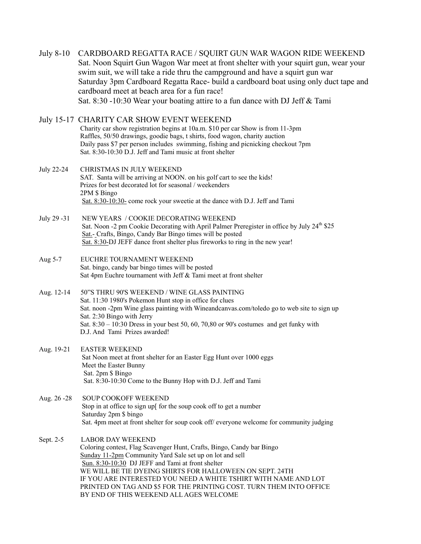| <b>July 8-10</b> | CARDBOARD REGATTA RACE / SQUIRT GUN WAR WAGON RIDE WEEKEND<br>Sat. Noon Squirt Gun Wagon War meet at front shelter with your squirt gun, wear your<br>swim suit, we will take a ride thru the campground and have a squirt gun war<br>Saturday 3pm Cardboard Regatta Race- build a cardboard boat using only duct tape and<br>cardboard meet at beach area for a fun race!<br>Sat. 8:30 -10:30 Wear your boating attire to a fun dance with DJ Jeff & Tami          |
|------------------|---------------------------------------------------------------------------------------------------------------------------------------------------------------------------------------------------------------------------------------------------------------------------------------------------------------------------------------------------------------------------------------------------------------------------------------------------------------------|
|                  | July 15-17 CHARITY CAR SHOW EVENT WEEKEND<br>Charity car show registration begins at 10a.m. \$10 per car Show is from 11-3pm<br>Raffles, 50/50 drawings, goodie bags, t shirts, food wagon, charity auction<br>Daily pass \$7 per person includes swimming, fishing and picnicking checkout 7pm<br>Sat. 8:30-10:30 D.J. Jeff and Tami music at front shelter                                                                                                        |
| July 22-24       | CHRISTMAS IN JULY WEEKEND<br>SAT. Santa will be arriving at NOON. on his golf cart to see the kids!<br>Prizes for best decorated lot for seasonal / weekenders<br>2PM \$ Bingo<br>Sat. 8:30-10:30- come rock your sweetie at the dance with D.J. Jeff and Tami                                                                                                                                                                                                      |
| July 29 -31      | NEW YEARS / COOKIE DECORATING WEEKEND<br>Sat. Noon -2 pm Cookie Decorating with April Palmer Preregister in office by July 24 <sup>th</sup> \$25<br>Sat.- Crafts, Bingo, Candy Bar Bingo times will be posted<br>Sat. 8:30-DJ JEFF dance front shelter plus fireworks to ring in the new year!                                                                                                                                                                      |
| Aug 5-7          | EUCHRE TOURNAMENT WEEKEND<br>Sat. bingo, candy bar bingo times will be posted<br>Sat 4pm Euchre tournament with Jeff & Tami meet at front shelter                                                                                                                                                                                                                                                                                                                   |
| Aug. 12-14       | 50"S THRU 90'S WEEKEND / WINE GLASS PAINTING<br>Sat. 11:30 1980's Pokemon Hunt stop in office for clues<br>Sat. noon -2pm Wine glass painting with Wineandcanvas.com/toledo go to web site to sign up<br>Sat. 2:30 Bingo with Jerry<br>Sat. 8:30 - 10:30 Dress in your best 50, 60, 70,80 or 90's costumes and get funky with<br>D.J. And Tami Prizes awarded!                                                                                                      |
| Aug. 19-21       | <b>EASTER WEEKEND</b><br>Sat Noon meet at front shelter for an Easter Egg Hunt over 1000 eggs<br>Meet the Easter Bunny<br>Sat. 2pm \$ Bingo<br>Sat. 8:30-10:30 Come to the Bunny Hop with D.J. Jeff and Tami                                                                                                                                                                                                                                                        |
| Aug. 26 - 28     | <b>SOUP COOKOFF WEEKEND</b><br>Stop in at office to sign up[ for the soup cook off to get a number<br>Saturday 2pm \$ bingo<br>Sat. 4pm meet at front shelter for soup cook off/ everyone welcome for community judging                                                                                                                                                                                                                                             |
| Sept. 2-5        | <b>LABOR DAY WEEKEND</b><br>Coloring contest, Flag Scavenger Hunt, Crafts, Bingo, Candy bar Bingo<br>Sunday 11-2pm Community Yard Sale set up on lot and sell<br>Sun. 8:30-10:30 DJ JEFF and Tami at front shelter<br>WE WILL BE TIE DYEING SHIRTS FOR HALLOWEEN ON SEPT. 24TH<br>IF YOU ARE INTERESTED YOU NEED A WHITE TSHIRT WITH NAME AND LOT<br>PRINTED ON TAG AND \$5 FOR THE PRINTING COST. TURN THEM INTO OFFICE<br>BY END OF THIS WEEKEND ALL AGES WELCOME |